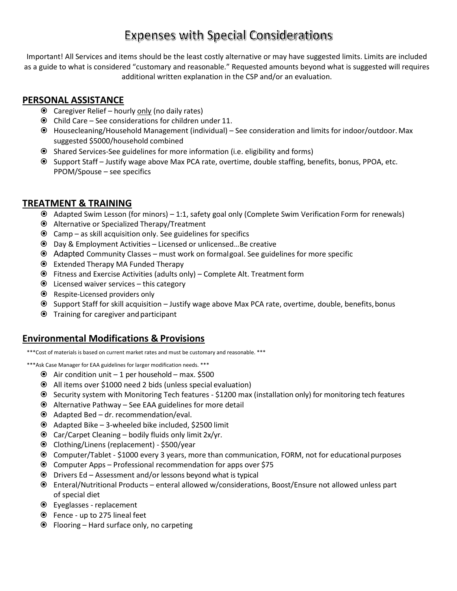# **Expenses with Special Considerations**

Important! All Services and items should be the least costly alternative or may have suggested limits. Limits are included as a guide to what is considered "customary and reasonable." Requested amounts beyond what is suggested will requires additional written explanation in the CSP and/or an evaluation.

## **PERSONAL ASSISTANCE**

- Caregiver Relief hourly only (no daily rates)
- $\odot$  Child Care See considerations for children under 11.
- Housecleaning/Household Management (individual) See consideration and limits for indoor/outdoor.Max suggested \$5000/household combined
- Shared Services-See guidelines for more information (i.e. eligibility and forms)
- Support Staff Justify wage above Max PCA rate, overtime, double staffing, benefits, bonus, PPOA, etc. PPOM/Spouse – see specifics

## **TREATMENT & TRAINING**

- Adapted Swim Lesson (for minors) 1:1, safety goal only (Complete Swim Verification Form for renewals)
- Alternative or Specialized Therapy/Treatment
- $\odot$  Camp as skill acquisition only. See guidelines for specifics
- Day & Employment Activities Licensed or unlicensed…Be creative
- Adapted Community Classes must work on formalgoal. See guidelines for more specific
- Extended Therapy MA Funded Therapy
- Fitness and Exercise Activities (adults only) Complete Alt. Treatment form
- $\odot$  Licensed waiver services this category
- Respite-Licensed providers only
- Support Staff for skill acquisition Justify wage above Max PCA rate, overtime, double, benefits,bonus
- Training for caregiver andparticipant

#### **Environmental Modifications & Provisions**

\*\*\*Cost of materials is based on current market rates and must be customary and reasonable. \*\*\*

\*\*\*Ask Case Manager for EAA guidelines for larger modification needs. \*\*\*

- $\odot$  Air condition unit 1 per household max. \$500
- All items over \$1000 need 2 bids (unless special evaluation)
- Security system with Monitoring Tech features \$1200 max (installation only) for monitoring tech features
- Alternative Pathway See EAA guidelines for more detail
- Adapted Bed dr. recommendation/eval.
- Adapted Bike 3-wheeled bike included, \$2500 limit
- $\odot$  Car/Carpet Cleaning bodily fluids only limit 2x/yr.
- Clothing/Linens (replacement) \$500/year
- Computer/Tablet \$1000 every 3 years, more than communication, FORM, not for educational purposes
- Computer Apps Professional recommendation for apps over \$75
- $\odot$  Drivers Ed Assessment and/or lessons beyond what is typical
- Enteral/Nutritional Products enteral allowed w/considerations, Boost/Ensure not allowed unless part of special diet
- Eyeglasses replacement
- Fence up to 275 lineal feet
- Flooring Hard surface only, no carpeting